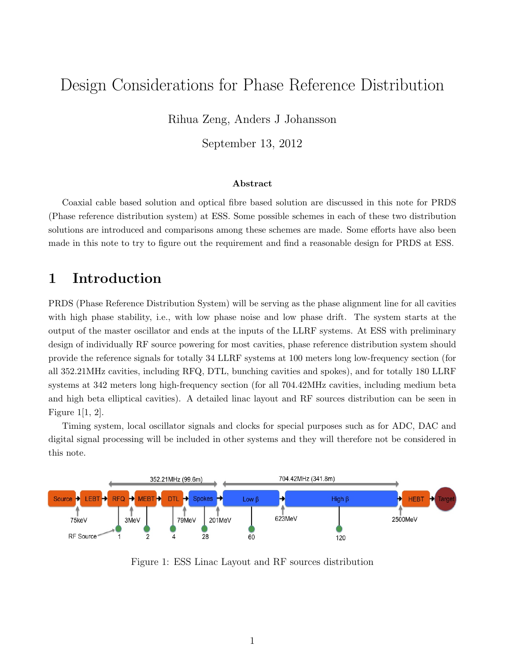# Design Considerations for Phase Reference Distribution

Rihua Zeng, Anders J Johansson

September 13, 2012

#### Abstract

Coaxial cable based solution and optical fibre based solution are discussed in this note for PRDS (Phase reference distribution system) at ESS. Some possible schemes in each of these two distribution solutions are introduced and comparisons among these schemes are made. Some efforts have also been made in this note to try to figure out the requirement and find a reasonable design for PRDS at ESS.

# 1 Introduction

PRDS (Phase Reference Distribution System) will be serving as the phase alignment line for all cavities with high phase stability, i.e., with low phase noise and low phase drift. The system starts at the output of the master oscillator and ends at the inputs of the LLRF systems. At ESS with preliminary design of individually RF source powering for most cavities, phase reference distribution system should provide the reference signals for totally 34 LLRF systems at 100 meters long low-frequency section (for all 352.21MHz cavities, including RFQ, DTL, bunching cavities and spokes), and for totally 180 LLRF systems at 342 meters long high-frequency section (for all 704.42MHz cavities, including medium beta and high beta elliptical cavities). A detailed linac layout and RF sources distribution can be seen in Figure 1[1, 2].

Timing system, local oscillator signals and clocks for special purposes such as for ADC, DAC and digital signal processing will be included in other systems and they will therefore not be considered in this note.



Figure 1: ESS Linac Layout and RF sources distribution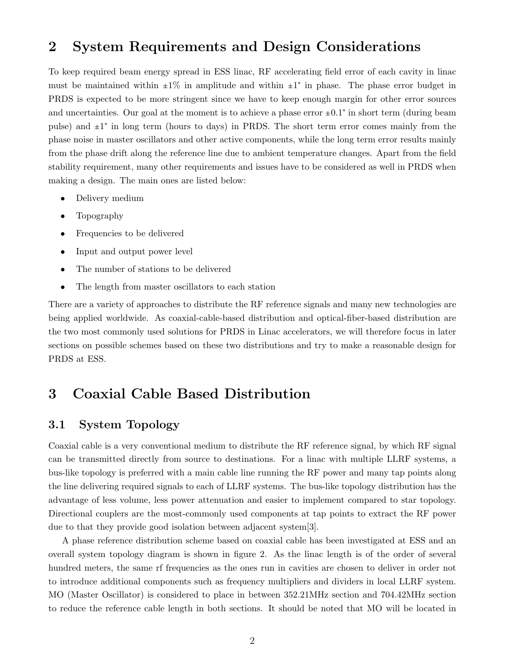## 2 System Requirements and Design Considerations

To keep required beam energy spread in ESS linac, RF accelerating field error of each cavity in linac must be maintained within  $\pm 1\%$  in amplitude and within  $\pm 1\degree$  in phase. The phase error budget in PRDS is expected to be more stringent since we have to keep enough margin for other error sources and uncertainties. Our goal at the moment is to achieve a phase error  $\pm 0.1^{\circ}$  in short term (during beam pulse) and  $\pm 1^{\circ}$  in long term (hours to days) in PRDS. The short term error comes mainly from the phase noise in master oscillators and other active components, while the long term error results mainly from the phase drift along the reference line due to ambient temperature changes. Apart from the field stability requirement, many other requirements and issues have to be considered as well in PRDS when making a design. The main ones are listed below:

- Delivery medium
- Topography
- Frequencies to be delivered
- Input and output power level
- The number of stations to be delivered
- The length from master oscillators to each station

There are a variety of approaches to distribute the RF reference signals and many new technologies are being applied worldwide. As coaxial-cable-based distribution and optical-fiber-based distribution are the two most commonly used solutions for PRDS in Linac accelerators, we will therefore focus in later sections on possible schemes based on these two distributions and try to make a reasonable design for PRDS at ESS.

## 3 Coaxial Cable Based Distribution

### 3.1 System Topology

Coaxial cable is a very conventional medium to distribute the RF reference signal, by which RF signal can be transmitted directly from source to destinations. For a linac with multiple LLRF systems, a bus-like topology is preferred with a main cable line running the RF power and many tap points along the line delivering required signals to each of LLRF systems. The bus-like topology distribution has the advantage of less volume, less power attenuation and easier to implement compared to star topology. Directional couplers are the most-commonly used components at tap points to extract the RF power due to that they provide good isolation between adjacent system[3].

A phase reference distribution scheme based on coaxial cable has been investigated at ESS and an overall system topology diagram is shown in figure 2. As the linac length is of the order of several hundred meters, the same rf frequencies as the ones run in cavities are chosen to deliver in order not to introduce additional components such as frequency multipliers and dividers in local LLRF system. MO (Master Oscillator) is considered to place in between 352.21MHz section and 704.42MHz section to reduce the reference cable length in both sections. It should be noted that MO will be located in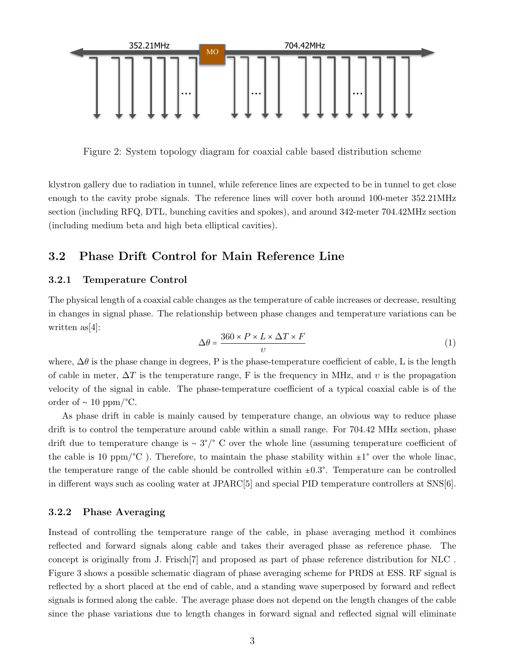

Figure 2: System topology diagram for coaxial cable based distribution scheme

klystron gallery due to radiation in tunnel, while reference lines are expected to be in tunnel to get close enough to the cavity probe signals. The reference lines will cover both around 100-meter 352.21MHz section (including RFQ, DTL, bunching cavities and spokes), and around 342-meter 704.42MHz section (including medium beta and high beta elliptical cavities).

### 3.2 Phase Drift Control for Main Reference Line

#### 3.2.1 Temperature Control

The physical length of a coaxial cable changes as the temperature of cable increases or decrease, resulting in changes in signal phase. The relationship between phase changes and temperature variations can be written as[4]:

$$
\Delta\theta = \frac{360 \times P \times L \times \Delta T \times F}{\nu} \tag{1}
$$

where,  $\Delta\theta$  is the phase change in degrees, P is the phase-temperature coefficient of cable, L is the length of cable in meter,  $\Delta T$  is the temperature range, F is the frequency in MHz, and v is the propagation velocity of the signal in cable. The phase-temperature coefficient of a typical coaxial cable is of the order of ~ 10 ppm/°C.

As phase drift in cable is mainly caused by temperature change, an obvious way to reduce phase drift is to control the temperature around cable within a small range. For 704.42 MHz section, phase drift due to temperature change is ∼ 3°/° C over the whole line (assuming temperature coefficient of the cable is 10 ppm/ $\degree$ C). Therefore, to maintain the phase stability within  $\pm 1\degree$  over the whole linac, the temperature range of the cable should be controlled within  $\pm 0.3^{\circ}$ . Temperature can be controlled in different ways such as cooling water at JPARC[5] and special PID temperature controllers at SNS[6].

#### 3.2.2 Phase Averaging

Instead of controlling the temperature range of the cable, in phase averaging method it combines reflected and forward signals along cable and takes their averaged phase as reference phase. The concept is originally from J. Frisch[7] and proposed as part of phase reference distribution for NLC . Figure 3 shows a possible schematic diagram of phase averaging scheme for PRDS at ESS. RF signal is reflected by a short placed at the end of cable, and a standing wave superposed by forward and reflect signals is formed along the cable. The average phase does not depend on the length changes of the cable since the phase variations due to length changes in forward signal and reflected signal will eliminate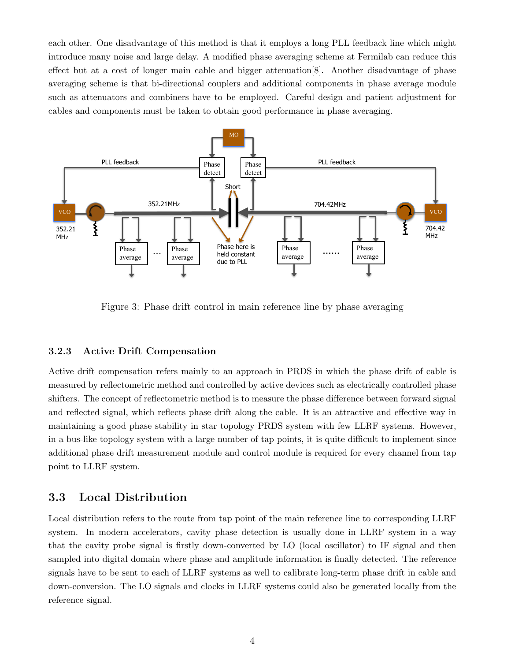each other. One disadvantage of this method is that it employs a long PLL feedback line which might introduce many noise and large delay. A modified phase averaging scheme at Fermilab can reduce this effect but at a cost of longer main cable and bigger attenuation[8]. Another disadvantage of phase averaging scheme is that bi-directional couplers and additional components in phase average module such as attenuators and combiners have to be employed. Careful design and patient adjustment for cables and components must be taken to obtain good performance in phase averaging.



Figure 3: Phase drift control in main reference line by phase averaging

#### 3.2.3 Active Drift Compensation

Active drift compensation refers mainly to an approach in PRDS in which the phase drift of cable is measured by reflectometric method and controlled by active devices such as electrically controlled phase shifters. The concept of reflectometric method is to measure the phase difference between forward signal and reflected signal, which reflects phase drift along the cable. It is an attractive and effective way in maintaining a good phase stability in star topology PRDS system with few LLRF systems. However, in a bus-like topology system with a large number of tap points, it is quite difficult to implement since additional phase drift measurement module and control module is required for every channel from tap point to LLRF system.

### 3.3 Local Distribution

Local distribution refers to the route from tap point of the main reference line to corresponding LLRF system. In modern accelerators, cavity phase detection is usually done in LLRF system in a way that the cavity probe signal is firstly down-converted by LO (local oscillator) to IF signal and then sampled into digital domain where phase and amplitude information is finally detected. The reference signals have to be sent to each of LLRF systems as well to calibrate long-term phase drift in cable and down-conversion. The LO signals and clocks in LLRF systems could also be generated locally from the reference signal.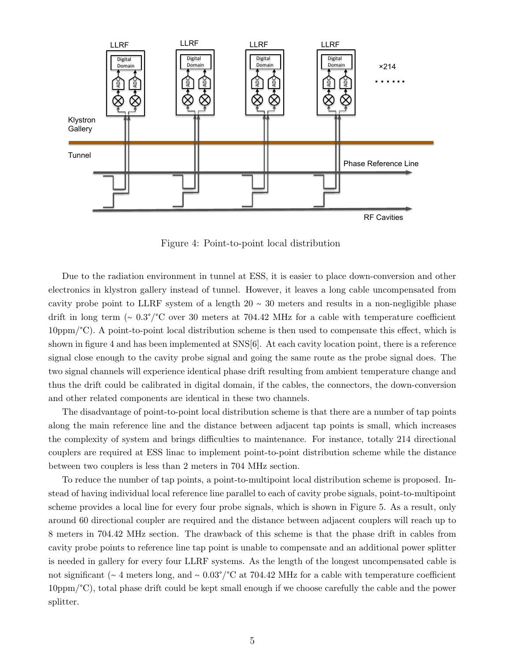

Figure 4: Point-to-point local distribution

Due to the radiation environment in tunnel at ESS, it is easier to place down-conversion and other electronics in klystron gallery instead of tunnel. However, it leaves a long cable uncompensated from cavity probe point to LLRF system of a length  $20 \sim 30$  meters and results in a non-negligible phase drift in long term (∼ 0.3°/°C over 30 meters at 704.42 MHz for a cable with temperature coefficient 10ppm/°C). A point-to-point local distribution scheme is then used to compensate this effect, which is shown in figure 4 and has been implemented at SNS[6]. At each cavity location point, there is a reference signal close enough to the cavity probe signal and going the same route as the probe signal does. The two signal channels will experience identical phase drift resulting from ambient temperature change and thus the drift could be calibrated in digital domain, if the cables, the connectors, the down-conversion and other related components are identical in these two channels.

The disadvantage of point-to-point local distribution scheme is that there are a number of tap points along the main reference line and the distance between adjacent tap points is small, which increases the complexity of system and brings difficulties to maintenance. For instance, totally 214 directional couplers are required at ESS linac to implement point-to-point distribution scheme while the distance between two couplers is less than 2 meters in 704 MHz section.

To reduce the number of tap points, a point-to-multipoint local distribution scheme is proposed. Instead of having individual local reference line parallel to each of cavity probe signals, point-to-multipoint scheme provides a local line for every four probe signals, which is shown in Figure 5. As a result, only around 60 directional coupler are required and the distance between adjacent couplers will reach up to 8 meters in 704.42 MHz section. The drawback of this scheme is that the phase drift in cables from cavity probe points to reference line tap point is unable to compensate and an additional power splitter is needed in gallery for every four LLRF systems. As the length of the longest uncompensated cable is not significant (∼ 4 meters long, and ∼ 0.03°/°C at 704.42 MHz for a cable with temperature coefficient 10ppm/°C), total phase drift could be kept small enough if we choose carefully the cable and the power splitter.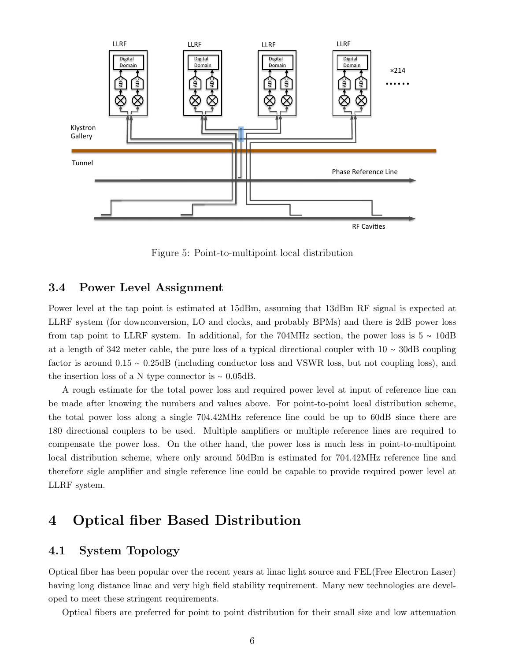

Figure 5: Point-to-multipoint local distribution

#### 3.4 Power Level Assignment

Power level at the tap point is estimated at 15dBm, assuming that 13dBm RF signal is expected at LLRF system (for downconversion, LO and clocks, and probably BPMs) and there is 2dB power loss from tap point to LLRF system. In additional, for the 704MHz section, the power loss is  $5 \sim 10$ dB at a length of 342 meter cable, the pure loss of a typical directional coupler with 10 ∼ 30dB coupling factor is around 0.15 ∼ 0.25dB (including conductor loss and VSWR loss, but not coupling loss), and the insertion loss of a N type connector is ∼ 0.05dB.

A rough estimate for the total power loss and required power level at input of reference line can be made after knowing the numbers and values above. For point-to-point local distribution scheme, the total power loss along a single 704.42MHz reference line could be up to 60dB since there are 180 directional couplers to be used. Multiple amplifiers or multiple reference lines are required to compensate the power loss. On the other hand, the power loss is much less in point-to-multipoint local distribution scheme, where only around 50dBm is estimated for 704.42MHz reference line and therefore sigle amplifier and single reference line could be capable to provide required power level at LLRF system.

## 4 Optical fiber Based Distribution

### 4.1 System Topology

Optical fiber has been popular over the recent years at linac light source and FEL(Free Electron Laser) having long distance linac and very high field stability requirement. Many new technologies are developed to meet these stringent requirements.

Optical fibers are preferred for point to point distribution for their small size and low attenuation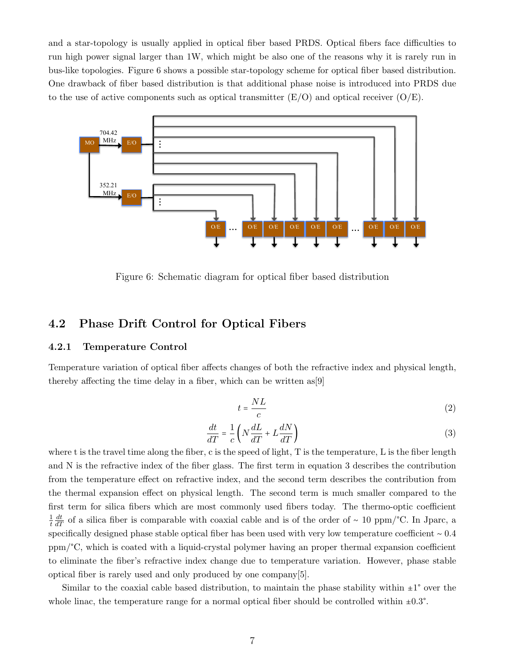and a star-topology is usually applied in optical fiber based PRDS. Optical fibers face difficulties to run high power signal larger than 1W, which might be also one of the reasons why it is rarely run in bus-like topologies. Figure 6 shows a possible star-topology scheme for optical fiber based distribution. One drawback of fiber based distribution is that additional phase noise is introduced into PRDS due to the use of active components such as optical transmitter  $(E/O)$  and optical receiver  $(O/E)$ .



Figure 6: Schematic diagram for optical fiber based distribution

### 4.2 Phase Drift Control for Optical Fibers

#### 4.2.1 Temperature Control

Temperature variation of optical fiber affects changes of both the refractive index and physical length, thereby affecting the time delay in a fiber, which can be written as[9]

$$
t = \frac{NL}{c} \tag{2}
$$

$$
\frac{dt}{dT} = \frac{1}{c} \left( N \frac{dL}{dT} + L \frac{dN}{dT} \right)
$$
\n(3)

where t is the travel time along the fiber, c is the speed of light, T is the temperature, L is the fiber length and N is the refractive index of the fiber glass. The first term in equation 3 describes the contribution from the temperature effect on refractive index, and the second term describes the contribution from the thermal expansion effect on physical length. The second term is much smaller compared to the first term for silica fibers which are most commonly used fibers today. The thermo-optic coefficient 1 t  $\frac{dt}{dT}$  of a silica fiber is comparable with coaxial cable and is of the order of ~ 10 ppm/°C. In Jparc, a specifically designed phase stable optical fiber has been used with very low temperature coefficient ∼ 0.4 ppm/°C, which is coated with a liquid-crystal polymer having an proper thermal expansion coefficient to eliminate the fiber's refractive index change due to temperature variation. However, phase stable optical fiber is rarely used and only produced by one company[5].

Similar to the coaxial cable based distribution, to maintain the phase stability within  $\pm 1^{\circ}$  over the whole linac, the temperature range for a normal optical fiber should be controlled within  $\pm 0.3^{\circ}$ .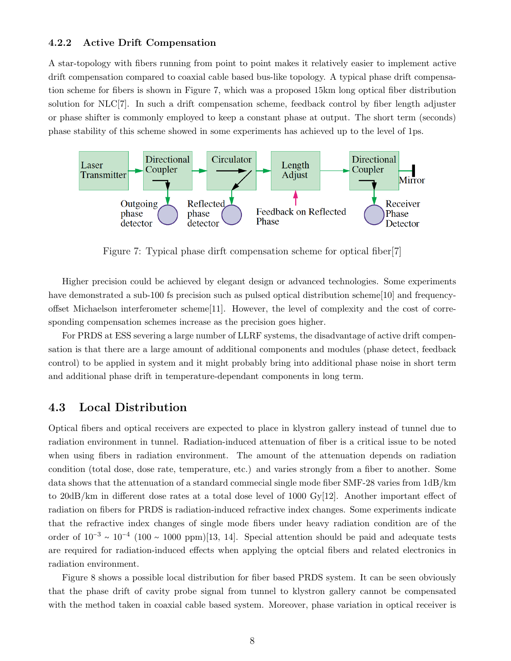#### 4.2.2 Active Drift Compensation

A star-topology with fibers running from point to point makes it relatively easier to implement active drift compensation compared to coaxial cable based bus-like topology. A typical phase drift compensation scheme for fibers is shown in Figure 7, which was a proposed 15km long optical fiber distribution solution for NLC[7]. In such a drift compensation scheme, feedback control by fiber length adjuster or phase shifter is commonly employed to keep a constant phase at output. The short term (seconds) phase stability of this scheme showed in some experiments has achieved up to the level of 1ps.



Figure 7: Typical phase dirft compensation scheme for optical fiber[7]

Higher precision could be achieved by elegant design or advanced technologies. Some experiments have demonstrated a sub-100 fs precision such as pulsed optical distribution scheme[10] and frequencyoffset Michaelson interferometer scheme[11]. However, the level of complexity and the cost of corresponding compensation schemes increase as the precision goes higher.

For PRDS at ESS severing a large number of LLRF systems, the disadvantage of active drift compensation is that there are a large amount of additional components and modules (phase detect, feedback control) to be applied in system and it might probably bring into additional phase noise in short term and additional phase drift in temperature-dependant components in long term.

### 4.3 Local Distribution

Optical fibers and optical receivers are expected to place in klystron gallery instead of tunnel due to radiation environment in tunnel. Radiation-induced attenuation of fiber is a critical issue to be noted when using fibers in radiation environment. The amount of the attenuation depends on radiation condition (total dose, dose rate, temperature, etc.) and varies strongly from a fiber to another. Some data shows that the attenuation of a standard commecial single mode fiber SMF-28 varies from 1dB/km to  $20\text{dB/km}$  in different dose rates at a total dose level of  $1000 \text{ Gy}[12]$ . Another important effect of radiation on fibers for PRDS is radiation-induced refractive index changes. Some experiments indicate that the refractive index changes of single mode fibers under heavy radiation condition are of the order of  $10^{-3} \sim 10^{-4}$  (100 ~ 1000 ppm)[13, 14]. Special attention should be paid and adequate tests are required for radiation-induced effects when applying the optcial fibers and related electronics in radiation environment.

Figure 8 shows a possible local distribution for fiber based PRDS system. It can be seen obviously that the phase drift of cavity probe signal from tunnel to klystron gallery cannot be compensated with the method taken in coaxial cable based system. Moreover, phase variation in optical receiver is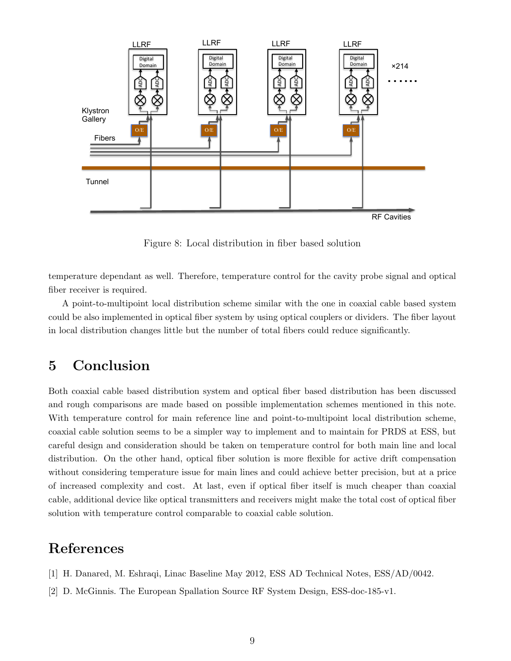

Figure 8: Local distribution in fiber based solution

temperature dependant as well. Therefore, temperature control for the cavity probe signal and optical fiber receiver is required.

A point-to-multipoint local distribution scheme similar with the one in coaxial cable based system could be also implemented in optical fiber system by using optical couplers or dividers. The fiber layout in local distribution changes little but the number of total fibers could reduce significantly.

## 5 Conclusion

Both coaxial cable based distribution system and optical fiber based distribution has been discussed and rough comparisons are made based on possible implementation schemes mentioned in this note. With temperature control for main reference line and point-to-multipoint local distribution scheme, coaxial cable solution seems to be a simpler way to implement and to maintain for PRDS at ESS, but careful design and consideration should be taken on temperature control for both main line and local distribution. On the other hand, optical fiber solution is more flexible for active drift compensation without considering temperature issue for main lines and could achieve better precision, but at a price of increased complexity and cost. At last, even if optical fiber itself is much cheaper than coaxial cable, additional device like optical transmitters and receivers might make the total cost of optical fiber solution with temperature control comparable to coaxial cable solution.

## References

- [1] H. Danared, M. Eshraqi, Linac Baseline May 2012, ESS AD Technical Notes, ESS/AD/0042.
- [2] D. McGinnis. The European Spallation Source RF System Design, ESS-doc-185-v1.